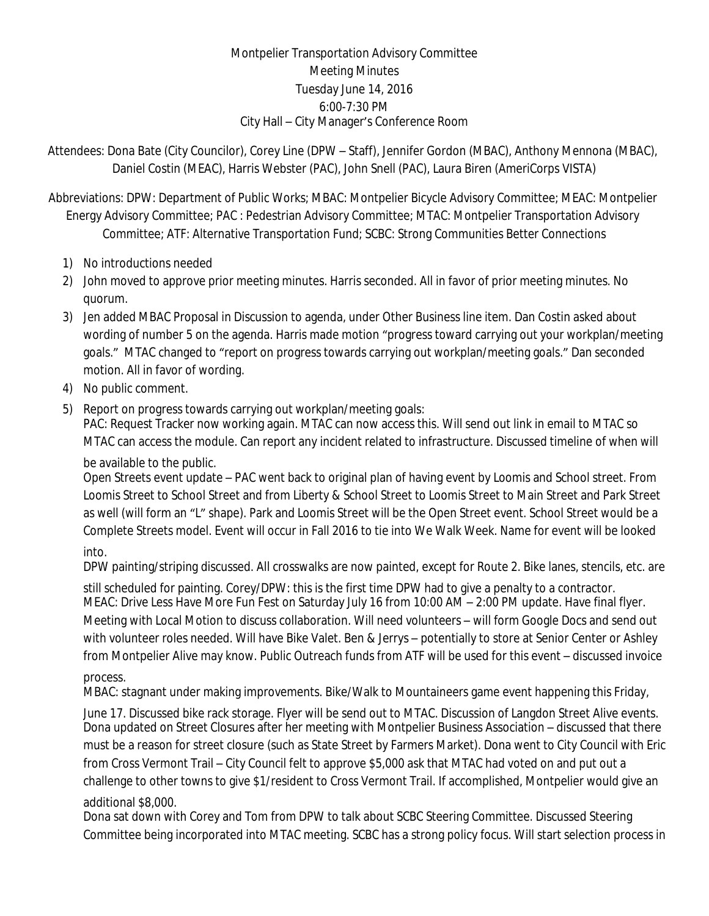## Montpelier Transportation Advisory Committee Meeting Minutes Tuesday June 14, 2016 6:00-7:30 PM City Hall – City Manager's Conference Room

Attendees: Dona Bate (City Councilor), Corey Line (DPW – Staff), Jennifer Gordon (MBAC), Anthony Mennona (MBAC), Daniel Costin (MEAC), Harris Webster (PAC), John Snell (PAC), Laura Biren (AmeriCorps VISTA)

Abbreviations: DPW: Department of Public Works; MBAC: Montpelier Bicycle Advisory Committee; MEAC: Montpelier Energy Advisory Committee; PAC : Pedestrian Advisory Committee; MTAC: Montpelier Transportation Advisory Committee; ATF: Alternative Transportation Fund; SCBC: Strong Communities Better Connections

- 1) No introductions needed
- 2) John moved to approve prior meeting minutes. Harris seconded. All in favor of prior meeting minutes. No quorum.
- 3) Jen added MBAC Proposal in Discussion to agenda, under Other Business line item. Dan Costin asked about wording of number 5 on the agenda. Harris made motion "progress toward carrying out your workplan/meeting goals." MTAC changed to "report on progress towards carrying out workplan/meeting goals." Dan seconded motion. All in favor of wording.
- 4) No public comment.
- 5) Report on progress towards carrying out workplan/meeting goals:

PAC: Request Tracker now working again. MTAC can now access this. Will send out link in email to MTAC so MTAC can access the module. Can report any incident related to infrastructure. Discussed timeline of when will

be available to the public.

Open Streets event update – PAC went back to original plan of having event by Loomis and School street. From Loomis Street to School Street and from Liberty & School Street to Loomis Street to Main Street and Park Street as well (will form an "L" shape). Park and Loomis Street will be the Open Street event. School Street would be a Complete Streets model. Event will occur in Fall 2016 to tie into We Walk Week. Name for event will be looked

## into.

DPW painting/striping discussed. All crosswalks are now painted, except for Route 2. Bike lanes, stencils, etc. are

still scheduled for painting. Corey/DPW: this is the first time DPW had to give a penalty to a contractor. MEAC: Drive Less Have More Fun Fest on Saturday July 16 from 10:00 AM – 2:00 PM update. Have final flyer. Meeting with Local Motion to discuss collaboration. Will need volunteers – will form Google Docs and send out with volunteer roles needed. Will have Bike Valet. Ben & Jerrys – potentially to store at Senior Center or Ashley from Montpelier Alive may know. Public Outreach funds from ATF will be used for this event – discussed invoice

## process.

MBAC: stagnant under making improvements. Bike/Walk to Mountaineers game event happening this Friday,

June 17. Discussed bike rack storage. Flyer will be send out to MTAC. Discussion of Langdon Street Alive events. Dona updated on Street Closures after her meeting with Montpelier Business Association – discussed that there must be a reason for street closure (such as State Street by Farmers Market). Dona went to City Council with Eric from Cross Vermont Trail – City Council felt to approve \$5,000 ask that MTAC had voted on and put out a challenge to other towns to give \$1/resident to Cross Vermont Trail. If accomplished, Montpelier would give an additional \$8,000.

Dona sat down with Corey and Tom from DPW to talk about SCBC Steering Committee. Discussed Steering Committee being incorporated into MTAC meeting. SCBC has a strong policy focus. Will start selection process in